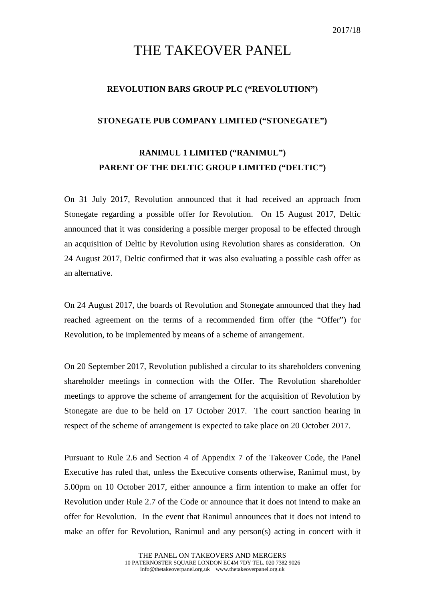## THE TAKEOVER PANEL

## **REVOLUTION BARS GROUP PLC ("REVOLUTION")**

## **STONEGATE PUB COMPANY LIMITED ("STONEGATE")**

## **RANIMUL 1 LIMITED ("RANIMUL") PARENT OF THE DELTIC GROUP LIMITED ("DELTIC")**

On 31 July 2017, Revolution announced that it had received an approach from Stonegate regarding a possible offer for Revolution. On 15 August 2017, Deltic announced that it was considering a possible merger proposal to be effected through an acquisition of Deltic by Revolution using Revolution shares as consideration. On 24 August 2017, Deltic confirmed that it was also evaluating a possible cash offer as an alternative.

On 24 August 2017, the boards of Revolution and Stonegate announced that they had reached agreement on the terms of a recommended firm offer (the "Offer") for Revolution, to be implemented by means of a scheme of arrangement.

On 20 September 2017, Revolution published a circular to its shareholders convening shareholder meetings in connection with the Offer. The Revolution shareholder meetings to approve the scheme of arrangement for the acquisition of Revolution by Stonegate are due to be held on 17 October 2017. The court sanction hearing in respect of the scheme of arrangement is expected to take place on 20 October 2017.

Pursuant to Rule 2.6 and Section 4 of Appendix 7 of the Takeover Code, the Panel Executive has ruled that, unless the Executive consents otherwise, Ranimul must, by 5.00pm on 10 October 2017, either announce a firm intention to make an offer for Revolution under Rule 2.7 of the Code or announce that it does not intend to make an offer for Revolution. In the event that Ranimul announces that it does not intend to make an offer for Revolution, Ranimul and any person(s) acting in concert with it